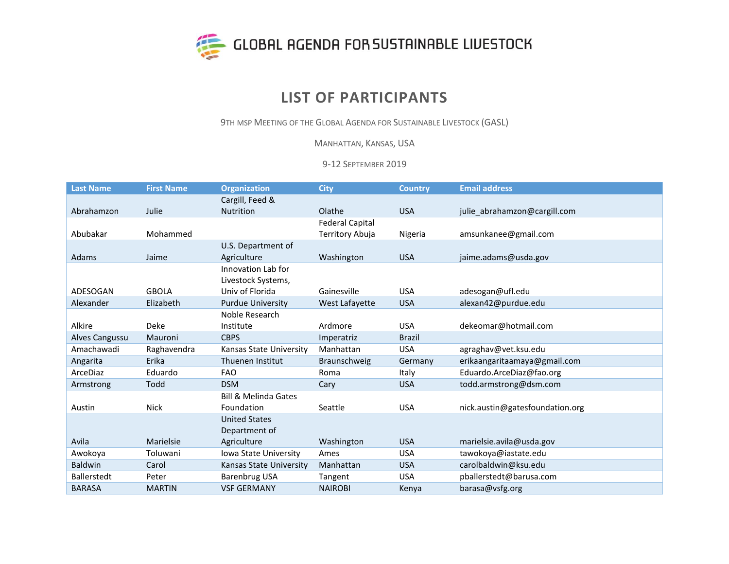

## **LIST OF PARTICIPANTS**

9TH MSP MEETING OF THE GLOBAL AGENDA FOR SUSTAINABLE LIVESTOCK (GASL)

MANHATTAN, KANSAS, USA

9-12 SEPTEMBER 2019

| <b>Last Name</b>   | <b>First Name</b> | <b>Organization</b>             | <b>City</b>            | <b>Country</b> | <b>Email address</b>            |
|--------------------|-------------------|---------------------------------|------------------------|----------------|---------------------------------|
|                    |                   | Cargill, Feed &                 |                        |                |                                 |
| Abrahamzon         | Julie             | <b>Nutrition</b>                | Olathe                 | <b>USA</b>     | julie abrahamzon@cargill.com    |
|                    |                   |                                 | <b>Federal Capital</b> |                |                                 |
| Abubakar           | Mohammed          |                                 | Territory Abuja        | Nigeria        | amsunkanee@gmail.com            |
|                    |                   | U.S. Department of              |                        |                |                                 |
| <b>Adams</b>       | Jaime             | Agriculture                     | Washington             | <b>USA</b>     | jaime.adams@usda.gov            |
|                    |                   | Innovation Lab for              |                        |                |                                 |
|                    |                   | Livestock Systems,              |                        |                |                                 |
| ADESOGAN           | <b>GBOLA</b>      | Univ of Florida                 | Gainesville            | <b>USA</b>     | adesogan@ufl.edu                |
| Alexander          | Elizabeth         | <b>Purdue University</b>        | West Lafayette         | <b>USA</b>     | alexan42@purdue.edu             |
|                    |                   | Noble Research                  |                        |                |                                 |
| Alkire             | <b>Deke</b>       | Institute                       | Ardmore                | <b>USA</b>     | dekeomar@hotmail.com            |
| Alves Cangussu     | Mauroni           | <b>CBPS</b>                     | Imperatriz             | <b>Brazil</b>  |                                 |
| Amachawadi         | Raghavendra       | Kansas State University         | Manhattan              | <b>USA</b>     | agraghav@vet.ksu.edu            |
| Angarita           | Erika             | Thuenen Institut                | Braunschweig           | Germany        | erikaangaritaamaya@gmail.com    |
| ArceDiaz           | Eduardo           | <b>FAO</b>                      | Roma                   | Italy          | Eduardo.ArceDiaz@fao.org        |
| Armstrong          | Todd              | <b>DSM</b>                      | Cary                   | <b>USA</b>     | todd.armstrong@dsm.com          |
|                    |                   | <b>Bill &amp; Melinda Gates</b> |                        |                |                                 |
| Austin             | <b>Nick</b>       | Foundation                      | Seattle                | <b>USA</b>     | nick.austin@gatesfoundation.org |
|                    |                   | <b>United States</b>            |                        |                |                                 |
|                    |                   | Department of                   |                        |                |                                 |
| Avila              | Marielsie         | Agriculture                     | Washington             | <b>USA</b>     | marielsie.avila@usda.gov        |
| Awokoya            | Toluwani          | Iowa State University           | Ames                   | <b>USA</b>     | tawokoya@iastate.edu            |
| <b>Baldwin</b>     | Carol             | Kansas State University         | Manhattan              | <b>USA</b>     | carolbaldwin@ksu.edu            |
| <b>Ballerstedt</b> | Peter             | <b>Barenbrug USA</b>            | Tangent                | <b>USA</b>     | pballerstedt@barusa.com         |
| <b>BARASA</b>      | <b>MARTIN</b>     | <b>VSF GERMANY</b>              | <b>NAIROBI</b>         | Kenya          | barasa@vsfg.org                 |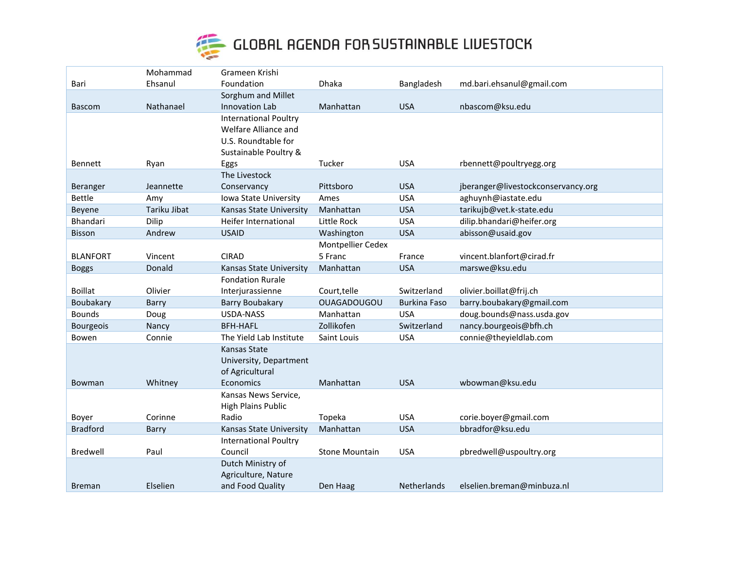

|                  | Mohammad     | Grameen Krishi               |                       |                     |                                    |
|------------------|--------------|------------------------------|-----------------------|---------------------|------------------------------------|
| Bari             | Ehsanul      | Foundation                   | Dhaka                 | Bangladesh          | md.bari.ehsanul@gmail.com          |
|                  |              | Sorghum and Millet           |                       |                     |                                    |
| <b>Bascom</b>    | Nathanael    | Innovation Lab               | Manhattan             | <b>USA</b>          | nbascom@ksu.edu                    |
|                  |              | <b>International Poultry</b> |                       |                     |                                    |
|                  |              | Welfare Alliance and         |                       |                     |                                    |
|                  |              | U.S. Roundtable for          |                       |                     |                                    |
|                  |              | Sustainable Poultry &        |                       |                     |                                    |
| <b>Bennett</b>   | Ryan         | Eggs                         | Tucker                | <b>USA</b>          | rbennett@poultryegg.org            |
|                  |              | The Livestock                |                       |                     |                                    |
| Beranger         | Jeannette    | Conservancy                  | Pittsboro             | <b>USA</b>          | jberanger@livestockconservancy.org |
| Bettle           | Amy          | Iowa State University        | Ames                  | <b>USA</b>          | aghuynh@iastate.edu                |
| Beyene           | Tariku Jibat | Kansas State University      | Manhattan             | <b>USA</b>          | tarikujb@vet.k-state.edu           |
| Bhandari         | Dilip        | Heifer International         | Little Rock           | <b>USA</b>          | dilip.bhandari@heifer.org          |
| Bisson           | Andrew       | <b>USAID</b>                 | Washington            | <b>USA</b>          | abisson@usaid.gov                  |
|                  |              |                              | Montpellier Cedex     |                     |                                    |
| <b>BLANFORT</b>  | Vincent      | <b>CIRAD</b>                 | 5 Franc               | France              | vincent.blanfort@cirad.fr          |
| <b>Boggs</b>     | Donald       | Kansas State University      | Manhattan             | <b>USA</b>          | marswe@ksu.edu                     |
|                  |              | <b>Fondation Rurale</b>      |                       |                     |                                    |
| <b>Boillat</b>   | Olivier      | Interjurassienne             | Court, telle          | Switzerland         | olivier.boillat@frij.ch            |
| Boubakary        | Barry        | <b>Barry Boubakary</b>       | <b>OUAGADOUGOU</b>    | <b>Burkina Faso</b> | barry.boubakary@gmail.com          |
| <b>Bounds</b>    | Doug         | <b>USDA-NASS</b>             | Manhattan             | <b>USA</b>          | doug.bounds@nass.usda.gov          |
| <b>Bourgeois</b> | Nancy        | <b>BFH-HAFL</b>              | Zollikofen            | Switzerland         | nancy.bourgeois@bfh.ch             |
| Bowen            | Connie       | The Yield Lab Institute      | Saint Louis           | <b>USA</b>          | connie@theyieldlab.com             |
|                  |              | Kansas State                 |                       |                     |                                    |
|                  |              | University, Department       |                       |                     |                                    |
|                  |              | of Agricultural              |                       |                     |                                    |
| Bowman           | Whitney      | Economics                    | Manhattan             | <b>USA</b>          | wbowman@ksu.edu                    |
|                  |              | Kansas News Service,         |                       |                     |                                    |
|                  |              | <b>High Plains Public</b>    |                       |                     |                                    |
| Boyer            | Corinne      | Radio                        | Topeka                | <b>USA</b>          | corie.boyer@gmail.com              |
| <b>Bradford</b>  | Barry        | Kansas State University      | Manhattan             | <b>USA</b>          | bbradfor@ksu.edu                   |
|                  |              | <b>International Poultry</b> |                       |                     |                                    |
| Bredwell         | Paul         | Council                      | <b>Stone Mountain</b> | <b>USA</b>          | pbredwell@uspoultry.org            |
|                  |              | Dutch Ministry of            |                       |                     |                                    |
|                  |              | Agriculture, Nature          |                       |                     |                                    |
| <b>Breman</b>    | Elselien     | and Food Quality             | Den Haag              | <b>Netherlands</b>  | elselien.breman@minbuza.nl         |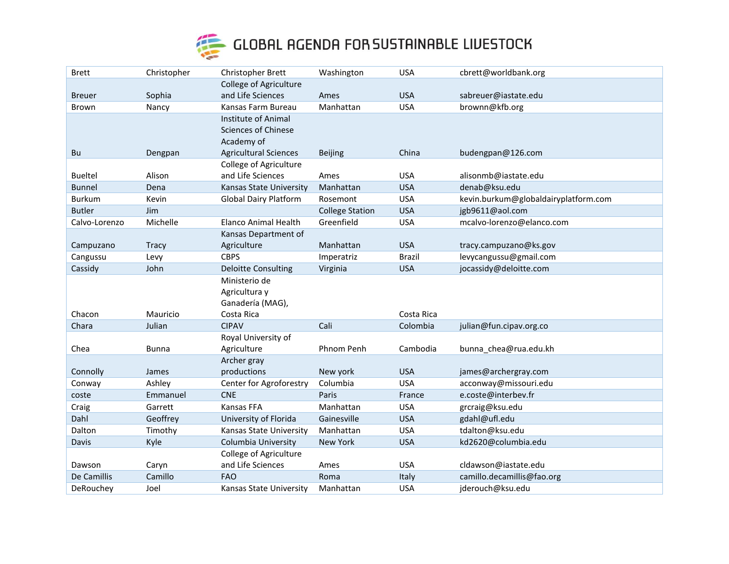

| <b>Brett</b>   | Christopher  | Christopher Brett             | Washington             | <b>USA</b>    | cbrett@worldbank.org                 |
|----------------|--------------|-------------------------------|------------------------|---------------|--------------------------------------|
|                |              | <b>College of Agriculture</b> |                        |               |                                      |
| <b>Breuer</b>  | Sophia       | and Life Sciences             | Ames                   | <b>USA</b>    | sabreuer@iastate.edu                 |
| Brown          | Nancy        | Kansas Farm Bureau            | Manhattan              | <b>USA</b>    | brownn@kfb.org                       |
|                |              | Institute of Animal           |                        |               |                                      |
|                |              | <b>Sciences of Chinese</b>    |                        |               |                                      |
|                |              | Academy of                    |                        |               |                                      |
| Bu             | Dengpan      | <b>Agricultural Sciences</b>  | <b>Beijing</b>         | China         | budengpan@126.com                    |
|                |              | College of Agriculture        |                        |               |                                      |
| <b>Bueltel</b> | Alison       | and Life Sciences             | Ames                   | <b>USA</b>    | alisonmb@iastate.edu                 |
| <b>Bunnel</b>  | Dena         | Kansas State University       | Manhattan              | <b>USA</b>    | denab@ksu.edu                        |
| <b>Burkum</b>  | Kevin        | <b>Global Dairy Platform</b>  | Rosemont               | <b>USA</b>    | kevin.burkum@globaldairyplatform.com |
| <b>Butler</b>  | Jim          |                               | <b>College Station</b> | <b>USA</b>    | jgb9611@aol.com                      |
| Calvo-Lorenzo  | Michelle     | <b>Elanco Animal Health</b>   | Greenfield             | <b>USA</b>    | mcalvo-lorenzo@elanco.com            |
|                |              | Kansas Department of          |                        |               |                                      |
| Campuzano      | Tracy        | Agriculture                   | Manhattan              | <b>USA</b>    | tracy.campuzano@ks.gov               |
| Cangussu       | Levy         | <b>CBPS</b>                   | Imperatriz             | <b>Brazil</b> | levycangussu@gmail.com               |
| Cassidy        | John         | <b>Deloitte Consulting</b>    | Virginia               | <b>USA</b>    | jocassidy@deloitte.com               |
|                |              | Ministerio de                 |                        |               |                                      |
|                |              | Agricultura y                 |                        |               |                                      |
|                |              | Ganadería (MAG),              |                        |               |                                      |
| Chacon         | Mauricio     | Costa Rica<br><b>CIPAV</b>    |                        | Costa Rica    |                                      |
| Chara          | Julian       |                               | Cali                   | Colombia      | julian@fun.cipav.org.co              |
|                |              | Royal University of           |                        | Cambodia      |                                      |
| Chea           | <b>Bunna</b> | Agriculture                   | Phnom Penh             |               | bunna_chea@rua.edu.kh                |
| Connolly       | James        | Archer gray<br>productions    | New york               | <b>USA</b>    | james@archergray.com                 |
| Conway         | Ashley       | Center for Agroforestry       | Columbia               | <b>USA</b>    | acconway@missouri.edu                |
| coste          | Emmanuel     | <b>CNE</b>                    | Paris                  | France        | e.coste@interbev.fr                  |
| Craig          | Garrett      | Kansas FFA                    | Manhattan              | <b>USA</b>    | grcraig@ksu.edu                      |
| Dahl           | Geoffrey     | University of Florida         | Gainesville            | <b>USA</b>    | gdahl@ufl.edu                        |
| Dalton         | Timothy      | Kansas State University       | Manhattan              | <b>USA</b>    | tdalton@ksu.edu                      |
| Davis          | Kyle         | Columbia University           | New York               | <b>USA</b>    | kd2620@columbia.edu                  |
|                |              | College of Agriculture        |                        |               |                                      |
| Dawson         | Caryn        | and Life Sciences             | Ames                   | <b>USA</b>    | cldawson@iastate.edu                 |
| De Camillis    | Camillo      | <b>FAO</b>                    | Roma                   | Italy         | camillo.decamillis@fao.org           |
| DeRouchey      | Joel         | Kansas State University       | Manhattan              | <b>USA</b>    | jderouch@ksu.edu                     |
|                |              |                               |                        |               |                                      |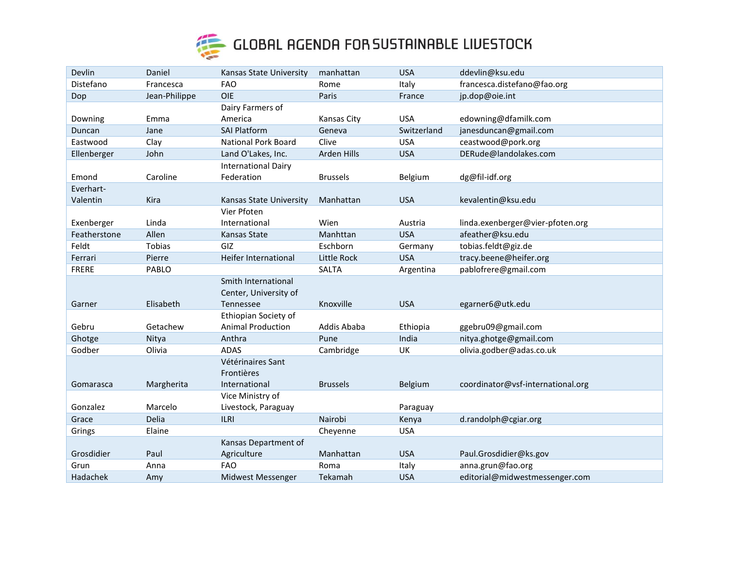

| Devlin       | Daniel        | Kansas State University    | manhattan          | <b>USA</b>  | ddevlin@ksu.edu                   |
|--------------|---------------|----------------------------|--------------------|-------------|-----------------------------------|
| Distefano    | Francesca     | <b>FAO</b>                 | Rome               | Italy       | francesca.distefano@fao.org       |
| Dop          | Jean-Philippe | <b>OIE</b>                 | Paris              | France      | jp.dop@oie.int                    |
|              |               | Dairy Farmers of           |                    |             |                                   |
| Downing      | Emma          | America                    | <b>Kansas City</b> | <b>USA</b>  | edowning@dfamilk.com              |
| Duncan       | Jane          | <b>SAI Platform</b>        | Geneva             | Switzerland | janesduncan@gmail.com             |
| Eastwood     | Clay          | <b>National Pork Board</b> | Clive              | <b>USA</b>  | ceastwood@pork.org                |
| Ellenberger  | John          | Land O'Lakes, Inc.         | Arden Hills        | <b>USA</b>  | DERude@landolakes.com             |
|              |               | <b>International Dairy</b> |                    |             |                                   |
| Emond        | Caroline      | Federation                 | <b>Brussels</b>    | Belgium     | dg@fil-idf.org                    |
| Everhart-    |               |                            |                    |             |                                   |
| Valentin     | Kira          | Kansas State University    | Manhattan          | <b>USA</b>  | kevalentin@ksu.edu                |
|              |               | Vier Pfoten                |                    |             |                                   |
| Exenberger   | Linda         | International              | Wien               | Austria     | linda.exenberger@vier-pfoten.org  |
| Featherstone | Allen         | <b>Kansas State</b>        | Manhttan           | <b>USA</b>  | afeather@ksu.edu                  |
| Feldt        | Tobias        | GIZ                        | Eschborn           | Germany     | tobias.feldt@giz.de               |
| Ferrari      | Pierre        | Heifer International       | <b>Little Rock</b> | <b>USA</b>  | tracy.beene@heifer.org            |
| <b>FRERE</b> | PABLO         |                            | <b>SALTA</b>       | Argentina   | pablofrere@gmail.com              |
|              |               | Smith International        |                    |             |                                   |
|              |               | Center, University of      |                    |             |                                   |
| Garner       | Elisabeth     | Tennessee                  | Knoxville          | <b>USA</b>  | egarner6@utk.edu                  |
|              |               | Ethiopian Society of       |                    |             |                                   |
| Gebru        | Getachew      | <b>Animal Production</b>   | Addis Ababa        | Ethiopia    | ggebru09@gmail.com                |
| Ghotge       | Nitya         | Anthra                     | Pune               | India       | nitya.ghotge@gmail.com            |
| Godber       | Olivia        | <b>ADAS</b>                | Cambridge          | UK          | olivia.godber@adas.co.uk          |
|              |               | Vétérinaires Sant          |                    |             |                                   |
|              |               | Frontières                 |                    |             |                                   |
| Gomarasca    | Margherita    | International              | <b>Brussels</b>    | Belgium     | coordinator@vsf-international.org |
|              |               | Vice Ministry of           |                    |             |                                   |
| Gonzalez     | Marcelo       | Livestock, Paraguay        |                    | Paraguay    |                                   |
| Grace        | Delia         | <b>ILRI</b>                | Nairobi            | Kenya       | d.randolph@cgiar.org              |
| Grings       | Elaine        |                            | Cheyenne           | <b>USA</b>  |                                   |
|              |               | Kansas Department of       |                    |             |                                   |
| Grosdidier   | Paul          | Agriculture                | Manhattan          | <b>USA</b>  | Paul.Grosdidier@ks.gov            |
| Grun         | Anna          | <b>FAO</b>                 | Roma               | Italy       | anna.grun@fao.org                 |
| Hadachek     | Amy           | Midwest Messenger          | Tekamah            | <b>USA</b>  | editorial@midwestmessenger.com    |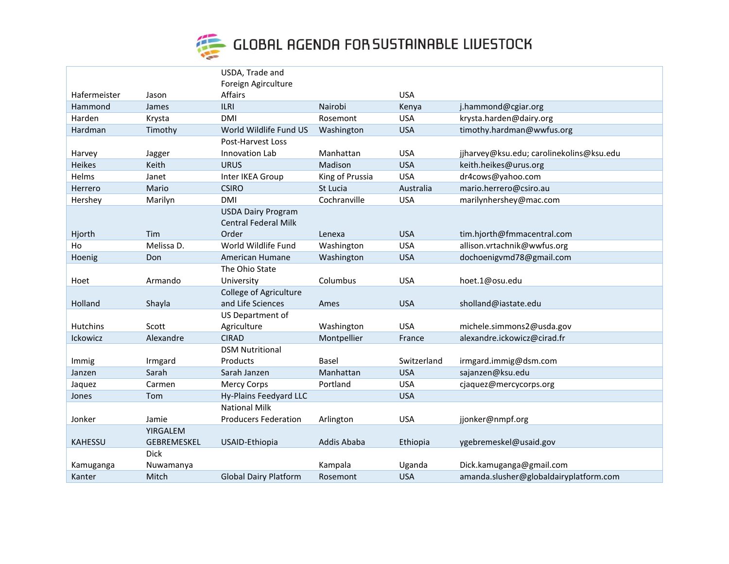

|                |                | USDA, Trade and               |                 |             |                                          |
|----------------|----------------|-------------------------------|-----------------|-------------|------------------------------------------|
|                |                | Foreign Agirculture           |                 |             |                                          |
| Hafermeister   |                | Affairs                       |                 | <b>USA</b>  |                                          |
| Hammond        | Jason<br>James | <b>ILRI</b>                   | Nairobi         | Kenya       | j.hammond@cgiar.org                      |
|                |                |                               |                 |             | krysta.harden@dairy.org                  |
| Harden         | Krysta         | DMI                           | Rosemont        | <b>USA</b>  |                                          |
| Hardman        | Timothy        | World Wildlife Fund US        | Washington      | <b>USA</b>  | timothy.hardman@wwfus.org                |
|                |                | Post-Harvest Loss             |                 |             |                                          |
| Harvey         | Jagger         | Innovation Lab                | Manhattan       | <b>USA</b>  | jjharvey@ksu.edu; carolinekolins@ksu.edu |
| Heikes         | Keith          | <b>URUS</b>                   | Madison         | <b>USA</b>  | keith.heikes@urus.org                    |
| Helms          | Janet          | Inter IKEA Group              | King of Prussia | <b>USA</b>  | dr4cows@yahoo.com                        |
| Herrero        | Mario          | <b>CSIRO</b>                  | St Lucia        | Australia   | mario.herrero@csiro.au                   |
| Hershey        | Marilyn        | <b>DMI</b>                    | Cochranville    | <b>USA</b>  | marilynhershey@mac.com                   |
|                |                | <b>USDA Dairy Program</b>     |                 |             |                                          |
|                |                | <b>Central Federal Milk</b>   |                 |             |                                          |
| Hjorth         | Tim            | Order                         | Lenexa          | <b>USA</b>  | tim.hjorth@fmmacentral.com               |
| Ho             | Melissa D.     | World Wildlife Fund           | Washington      | <b>USA</b>  | allison.vrtachnik@wwfus.org              |
| Hoenig         | Don            | American Humane               | Washington      | <b>USA</b>  | dochoenigvmd78@gmail.com                 |
|                |                | The Ohio State                |                 |             |                                          |
| Hoet           | Armando        | University                    | Columbus        | <b>USA</b>  | hoet.1@osu.edu                           |
|                |                | <b>College of Agriculture</b> |                 |             |                                          |
| Holland        | Shayla         | and Life Sciences             | Ames            | <b>USA</b>  | sholland@iastate.edu                     |
|                |                | US Department of              |                 |             |                                          |
| Hutchins       | Scott          | Agriculture                   | Washington      | <b>USA</b>  | michele.simmons2@usda.gov                |
| Ickowicz       | Alexandre      | <b>CIRAD</b>                  | Montpellier     | France      | alexandre.ickowicz@cirad.fr              |
|                |                | <b>DSM Nutritional</b>        |                 |             |                                          |
| Immig          | Irmgard        | Products                      | <b>Basel</b>    | Switzerland | irmgard.immig@dsm.com                    |
| Janzen         | Sarah          | Sarah Janzen                  | Manhattan       | <b>USA</b>  | sajanzen@ksu.edu                         |
| Jaquez         | Carmen         | <b>Mercy Corps</b>            | Portland        | <b>USA</b>  | cjaquez@mercycorps.org                   |
| Jones          | Tom            | Hy-Plains Feedyard LLC        |                 | <b>USA</b>  |                                          |
|                |                | <b>National Milk</b>          |                 |             |                                          |
| Jonker         | Jamie          | <b>Producers Federation</b>   | Arlington       | <b>USA</b>  | jjonker@nmpf.org                         |
|                | YIRGALEM       |                               |                 |             |                                          |
| <b>KAHESSU</b> | GEBREMESKEL    | USAID-Ethiopia                | Addis Ababa     | Ethiopia    | ygebremeskel@usaid.gov                   |
|                | Dick           |                               |                 |             |                                          |
|                |                |                               | Kampala         | Uganda      | Dick.kamuganga@gmail.com                 |
| Kamuganga      | Nuwamanya      |                               |                 |             |                                          |
| Kanter         | Mitch          | <b>Global Dairy Platform</b>  | Rosemont        | <b>USA</b>  | amanda.slusher@globaldairyplatform.com   |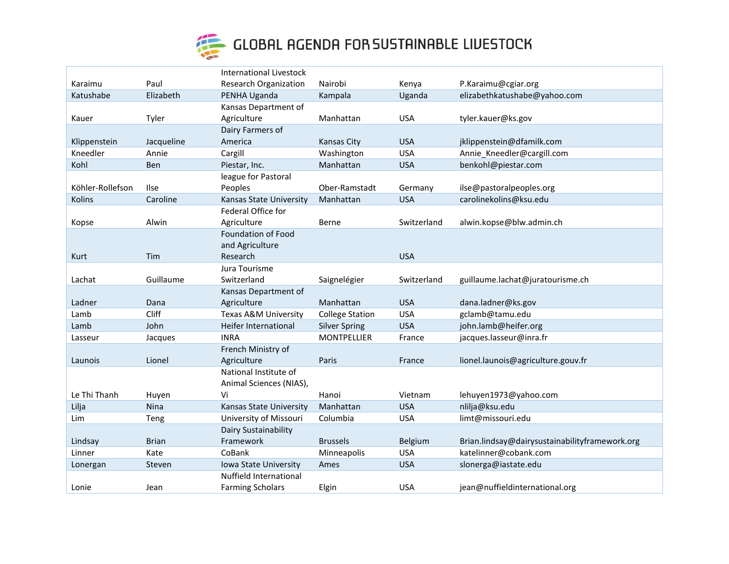

|                  |              | <b>International Livestock</b> |                        |             |                                                |
|------------------|--------------|--------------------------------|------------------------|-------------|------------------------------------------------|
| Karaimu          | Paul         | <b>Research Organization</b>   | Nairobi                | Kenya       | P.Karaimu@cgiar.org                            |
| Katushabe        | Elizabeth    | PENHA Uganda                   | Kampala                | Uganda      | elizabethkatushabe@yahoo.com                   |
|                  |              | Kansas Department of           |                        |             |                                                |
| Kauer            | Tyler        | Agriculture                    | Manhattan              | <b>USA</b>  | tyler.kauer@ks.gov                             |
|                  |              | Dairy Farmers of               |                        |             |                                                |
| Klippenstein     | Jacqueline   | America                        | Kansas City            | <b>USA</b>  | jklippenstein@dfamilk.com                      |
| Kneedler         | Annie        | Cargill                        | Washington             | <b>USA</b>  | Annie Kneedler@cargill.com                     |
| Kohl             | Ben          | Piestar, Inc.                  | Manhattan              | <b>USA</b>  | benkohl@piestar.com                            |
|                  |              | league for Pastoral            |                        |             |                                                |
| Köhler-Rollefson | Ilse         | Peoples                        | Ober-Ramstadt          | Germany     | ilse@pastoralpeoples.org                       |
| Kolins           | Caroline     | Kansas State University        | Manhattan              | <b>USA</b>  | carolinekolins@ksu.edu                         |
|                  |              | Federal Office for             |                        |             |                                                |
| Kopse            | Alwin        | Agriculture                    | Berne                  | Switzerland | alwin.kopse@blw.admin.ch                       |
|                  |              | Foundation of Food             |                        |             |                                                |
|                  |              | and Agriculture                |                        |             |                                                |
| Kurt             | Tim          | Research                       |                        | <b>USA</b>  |                                                |
|                  |              | Jura Tourisme                  |                        |             |                                                |
| Lachat           | Guillaume    | Switzerland                    | Saignelégier           | Switzerland | guillaume.lachat@juratourisme.ch               |
|                  |              | Kansas Department of           |                        |             |                                                |
| Ladner           | Dana         | Agriculture                    | Manhattan              | <b>USA</b>  | dana.ladner@ks.gov                             |
| Lamb             | Cliff        | Texas A&M University           | <b>College Station</b> | <b>USA</b>  | gclamb@tamu.edu                                |
| Lamb             | John         | Heifer International           | <b>Silver Spring</b>   | <b>USA</b>  | john.lamb@heifer.org                           |
| Lasseur          | Jacques      | <b>INRA</b>                    | <b>MONTPELLIER</b>     | France      | jacques.lasseur@inra.fr                        |
|                  |              | French Ministry of             |                        |             |                                                |
| Launois          | Lionel       | Agriculture                    | Paris                  | France      | lionel.launois@agriculture.gouv.fr             |
|                  |              | National Institute of          |                        |             |                                                |
|                  |              | Animal Sciences (NIAS),        |                        |             |                                                |
| Le Thi Thanh     | Huyen        | Vi                             | Hanoi                  | Vietnam     | lehuyen1973@yahoo.com                          |
| Lilja            | <b>Nina</b>  | Kansas State University        | Manhattan              | <b>USA</b>  | nlilja@ksu.edu                                 |
| Lim              | Teng         | University of Missouri         | Columbia               | <b>USA</b>  | limt@missouri.edu                              |
|                  |              | Dairy Sustainability           |                        |             |                                                |
| Lindsay          | <b>Brian</b> | Framework                      | <b>Brussels</b>        | Belgium     | Brian.lindsay@dairysustainabilityframework.org |
| Linner           | Kate         | CoBank                         | Minneapolis            | <b>USA</b>  | katelinner@cobank.com                          |
| Lonergan         | Steven       | Iowa State University          | Ames                   | <b>USA</b>  | slonerga@iastate.edu                           |
|                  |              | Nuffield International         |                        |             |                                                |
| Lonie            | Jean         | <b>Farming Scholars</b>        | Elgin                  | <b>USA</b>  | jean@nuffieldinternational.org                 |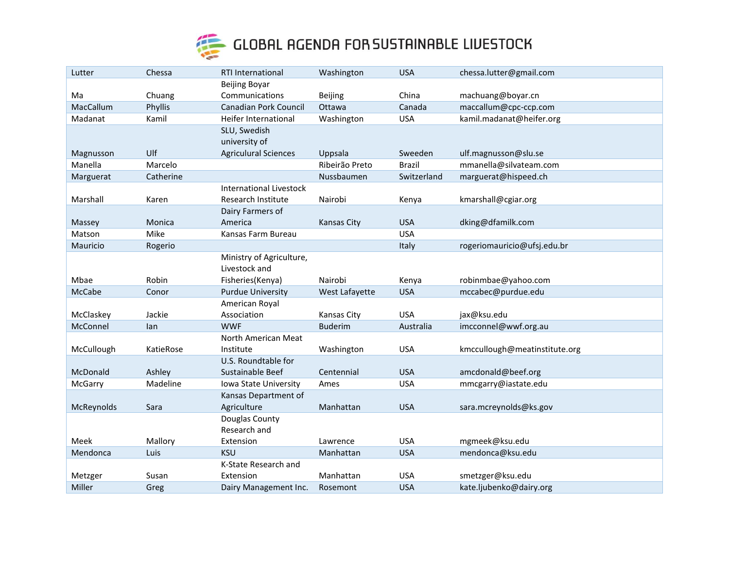

| Lutter     | Chessa    | <b>RTI International</b>       | Washington         | <b>USA</b>    | chessa.lutter@gmail.com       |
|------------|-----------|--------------------------------|--------------------|---------------|-------------------------------|
|            |           | <b>Beijing Boyar</b>           |                    |               |                               |
| Ma         | Chuang    | Communications                 | Beijing            | China         | machuang@boyar.cn             |
| MacCallum  | Phyllis   | <b>Canadian Pork Council</b>   | Ottawa             | Canada        | maccallum@cpc-ccp.com         |
| Madanat    | Kamil     | Heifer International           | Washington         | <b>USA</b>    | kamil.madanat@heifer.org      |
|            |           | SLU, Swedish                   |                    |               |                               |
|            |           | university of                  |                    |               |                               |
| Magnusson  | Ulf       | <b>Agriculural Sciences</b>    | Uppsala            | Sweeden       | ulf.magnusson@slu.se          |
| Manella    | Marcelo   |                                | Ribeirão Preto     | <b>Brazil</b> | mmanella@silvateam.com        |
| Marguerat  | Catherine |                                | Nussbaumen         | Switzerland   | marguerat@hispeed.ch          |
|            |           | <b>International Livestock</b> |                    |               |                               |
| Marshall   | Karen     | Research Institute             | Nairobi            | Kenya         | kmarshall@cgiar.org           |
|            |           | Dairy Farmers of               |                    |               |                               |
| Massey     | Monica    | America                        | <b>Kansas City</b> | <b>USA</b>    | dking@dfamilk.com             |
| Matson     | Mike      | Kansas Farm Bureau             |                    | <b>USA</b>    |                               |
| Mauricio   | Rogerio   |                                |                    | Italy         | rogeriomauricio@ufsj.edu.br   |
|            |           | Ministry of Agriculture,       |                    |               |                               |
|            |           | Livestock and                  |                    |               |                               |
| Mbae       | Robin     | Fisheries(Kenya)               | Nairobi            | Kenya         | robinmbae@yahoo.com           |
| McCabe     | Conor     | <b>Purdue University</b>       | West Lafayette     | <b>USA</b>    | mccabec@purdue.edu            |
|            |           | American Royal                 |                    |               |                               |
| McClaskey  | Jackie    | Association                    | Kansas City        | <b>USA</b>    | jax@ksu.edu                   |
| McConnel   | lan       | <b>WWF</b>                     | <b>Buderim</b>     | Australia     | imcconnel@wwf.org.au          |
|            |           | North American Meat            |                    |               |                               |
| McCullough | KatieRose | Institute                      | Washington         | <b>USA</b>    | kmccullough@meatinstitute.org |
|            |           | U.S. Roundtable for            |                    |               |                               |
| McDonald   | Ashley    | Sustainable Beef               | Centennial         | <b>USA</b>    | amcdonald@beef.org            |
| McGarry    | Madeline  | Iowa State University          | Ames               | <b>USA</b>    | mmcgarry@iastate.edu          |
|            |           | Kansas Department of           |                    |               |                               |
| McReynolds | Sara      | Agriculture                    | Manhattan          | <b>USA</b>    | sara.mcreynolds@ks.gov        |
|            |           | Douglas County                 |                    |               |                               |
|            |           | Research and                   |                    |               |                               |
| Meek       | Mallory   | Extension                      | Lawrence           | <b>USA</b>    | mgmeek@ksu.edu                |
| Mendonca   | Luis      | <b>KSU</b>                     | Manhattan          | <b>USA</b>    | mendonca@ksu.edu              |
|            |           | K-State Research and           |                    |               |                               |
| Metzger    | Susan     | Extension                      | Manhattan          | <b>USA</b>    | smetzger@ksu.edu              |
| Miller     | Greg      | Dairy Management Inc.          | Rosemont           | <b>USA</b>    | kate.ljubenko@dairy.org       |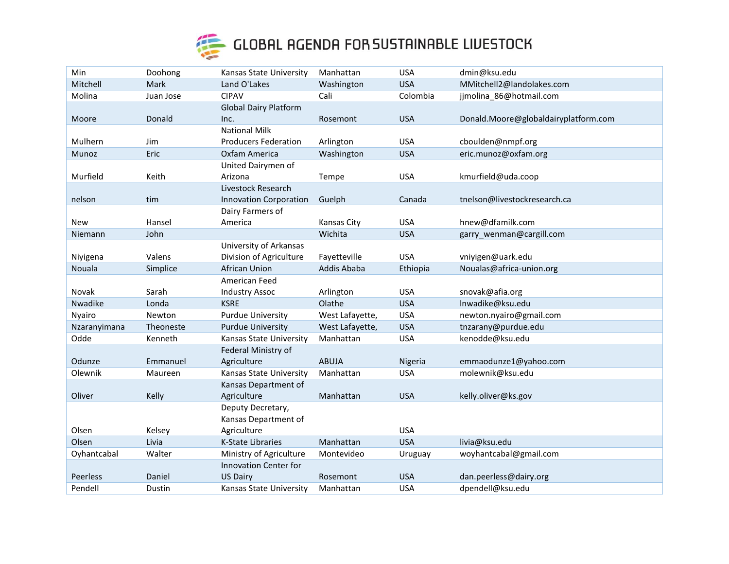

| Min             | Doohong   | Kansas State University       | Manhattan       | <b>USA</b> | dmin@ksu.edu                         |
|-----------------|-----------|-------------------------------|-----------------|------------|--------------------------------------|
| Mitchell        | Mark      | Land O'Lakes                  | Washington      | <b>USA</b> | MMitchell2@landolakes.com            |
| Molina          | Juan Jose | <b>CIPAV</b>                  | Cali            | Colombia   | jjmolina_86@hotmail.com              |
|                 |           | <b>Global Dairy Platform</b>  |                 |            |                                      |
| Moore           | Donald    | Inc.                          | Rosemont        | <b>USA</b> | Donald.Moore@globaldairyplatform.com |
|                 |           | <b>National Milk</b>          |                 |            |                                      |
| Mulhern         | Jim       | <b>Producers Federation</b>   | Arlington       | <b>USA</b> | cboulden@nmpf.org                    |
| Munoz           | Eric      | Oxfam America                 | Washington      | <b>USA</b> | eric.munoz@oxfam.org                 |
|                 |           | United Dairymen of            |                 |            |                                      |
| Murfield        | Keith     | Arizona                       | Tempe           | <b>USA</b> | kmurfield@uda.coop                   |
|                 |           | Livestock Research            |                 |            |                                      |
| nelson          | tim       | <b>Innovation Corporation</b> | Guelph          | Canada     | tnelson@livestockresearch.ca         |
|                 |           | Dairy Farmers of              |                 |            |                                      |
| New             | Hansel    | America                       | Kansas City     | <b>USA</b> | hnew@dfamilk.com                     |
| Niemann         | John      |                               | Wichita         | <b>USA</b> | garry_wenman@cargill.com             |
|                 |           | University of Arkansas        |                 |            |                                      |
| Niyigena        | Valens    | Division of Agriculture       | Fayetteville    | <b>USA</b> | vniyigen@uark.edu                    |
| Nouala          | Simplice  | African Union                 | Addis Ababa     | Ethiopia   | Noualas@africa-union.org             |
|                 |           | American Feed                 |                 |            |                                      |
| Novak           | Sarah     | <b>Industry Assoc</b>         | Arlington       | <b>USA</b> | snovak@afia.org                      |
| Nwadike         | Londa     | <b>KSRE</b>                   | Olathe          | <b>USA</b> | Inwadike@ksu.edu                     |
| Nyairo          | Newton    | <b>Purdue University</b>      | West Lafayette, | <b>USA</b> | newton.nyairo@gmail.com              |
| Nzaranyimana    | Theoneste | <b>Purdue University</b>      | West Lafayette, | <b>USA</b> | tnzarany@purdue.edu                  |
| Odde            | Kenneth   | Kansas State University       | Manhattan       | <b>USA</b> | kenodde@ksu.edu                      |
|                 |           | Federal Ministry of           |                 |            |                                      |
| Odunze          | Emmanuel  | Agriculture                   | <b>ABUJA</b>    | Nigeria    | emmaodunze1@yahoo.com                |
| Olewnik         | Maureen   | Kansas State University       | Manhattan       | <b>USA</b> | molewnik@ksu.edu                     |
|                 |           | Kansas Department of          |                 |            |                                      |
| Oliver          | Kelly     | Agriculture                   | Manhattan       | <b>USA</b> | kelly.oliver@ks.gov                  |
|                 |           | Deputy Decretary,             |                 |            |                                      |
|                 |           | Kansas Department of          |                 |            |                                      |
| Olsen           | Kelsey    | Agriculture                   |                 | <b>USA</b> |                                      |
| Olsen           | Livia     | <b>K-State Libraries</b>      | Manhattan       | <b>USA</b> | livia@ksu.edu                        |
| Oyhantcabal     | Walter    | Ministry of Agriculture       | Montevideo      | Uruguay    | woyhantcabal@gmail.com               |
|                 |           | <b>Innovation Center for</b>  |                 |            |                                      |
| <b>Peerless</b> | Daniel    | <b>US Dairy</b>               | Rosemont        | <b>USA</b> | dan.peerless@dairy.org               |
| Pendell         | Dustin    | Kansas State University       | Manhattan       | <b>USA</b> | dpendell@ksu.edu                     |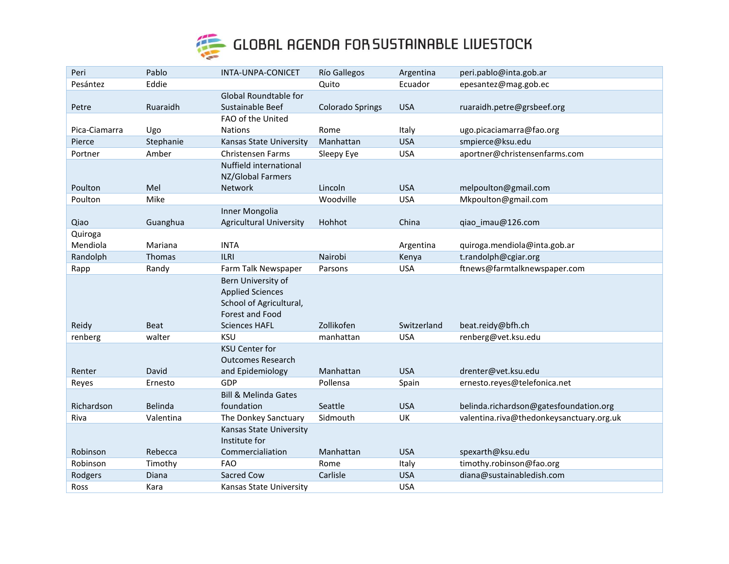

| Peri          | Pablo       | INTA-UNPA-CONICET                                  | <b>Río Gallegos</b>     | Argentina   | peri.pablo@inta.gob.ar                   |
|---------------|-------------|----------------------------------------------------|-------------------------|-------------|------------------------------------------|
| Pesántez      | Eddie       |                                                    | Quito                   | Ecuador     | epesantez@mag.gob.ec                     |
|               |             | Global Roundtable for                              |                         |             |                                          |
| Petre         | Ruaraidh    | Sustainable Beef                                   | <b>Colorado Springs</b> | <b>USA</b>  | ruaraidh.petre@grsbeef.org               |
|               |             | FAO of the United                                  |                         |             |                                          |
| Pica-Ciamarra | Ugo         | <b>Nations</b>                                     | Rome                    | Italy       | ugo.picaciamarra@fao.org                 |
| Pierce        | Stephanie   | Kansas State University                            | Manhattan               | <b>USA</b>  | smpierce@ksu.edu                         |
| Portner       | Amber       | <b>Christensen Farms</b>                           | Sleepy Eye              | <b>USA</b>  | aportner@christensenfarms.com            |
|               |             | Nuffield international<br>NZ/Global Farmers        |                         |             |                                          |
| Poulton       | Mel         | <b>Network</b>                                     | Lincoln                 | <b>USA</b>  | melpoulton@gmail.com                     |
| Poulton       | Mike        |                                                    | Woodville               | <b>USA</b>  | Mkpoulton@gmail.com                      |
|               |             | Inner Mongolia                                     |                         |             |                                          |
| Qiao          | Guanghua    | <b>Agricultural University</b>                     | Hohhot                  | China       | qiao_imau@126.com                        |
| Quiroga       |             |                                                    |                         |             |                                          |
| Mendiola      | Mariana     | <b>INTA</b>                                        |                         | Argentina   | quiroga.mendiola@inta.gob.ar             |
| Randolph      | Thomas      | <b>ILRI</b>                                        | Nairobi                 | Kenya       | t.randolph@cgiar.org                     |
| Rapp          | Randy       | Farm Talk Newspaper                                | Parsons                 | <b>USA</b>  | ftnews@farmtalknewspaper.com             |
|               |             | Bern University of                                 |                         |             |                                          |
|               |             | <b>Applied Sciences</b><br>School of Agricultural, |                         |             |                                          |
|               |             | Forest and Food                                    |                         |             |                                          |
| Reidy         | <b>Beat</b> | <b>Sciences HAFL</b>                               | Zollikofen              | Switzerland | beat.reidy@bfh.ch                        |
| renberg       | walter      | <b>KSU</b>                                         | manhattan               | <b>USA</b>  | renberg@vet.ksu.edu                      |
|               |             | <b>KSU Center for</b>                              |                         |             |                                          |
|               |             | <b>Outcomes Research</b>                           |                         |             |                                          |
| Renter        | David       | and Epidemiology                                   | Manhattan               | <b>USA</b>  | drenter@vet.ksu.edu                      |
| Reyes         | Ernesto     | GDP                                                | Pollensa                | Spain       | ernesto.reyes@telefonica.net             |
|               |             | <b>Bill &amp; Melinda Gates</b>                    |                         |             |                                          |
| Richardson    | Belinda     | foundation                                         | Seattle                 | <b>USA</b>  | belinda.richardson@gatesfoundation.org   |
| Riva          | Valentina   | The Donkey Sanctuary                               | Sidmouth                | UK          | valentina.riva@thedonkeysanctuary.org.uk |
|               |             | Kansas State University                            |                         |             |                                          |
|               |             | Institute for                                      |                         |             |                                          |
| Robinson      | Rebecca     | Commercialiation                                   | Manhattan               | <b>USA</b>  | spexarth@ksu.edu                         |
| Robinson      | Timothy     | <b>FAO</b>                                         | Rome                    | Italy       | timothy.robinson@fao.org                 |
| Rodgers       | Diana       | Sacred Cow                                         | Carlisle                | <b>USA</b>  | diana@sustainabledish.com                |
| Ross          | Kara        | Kansas State University                            |                         | <b>USA</b>  |                                          |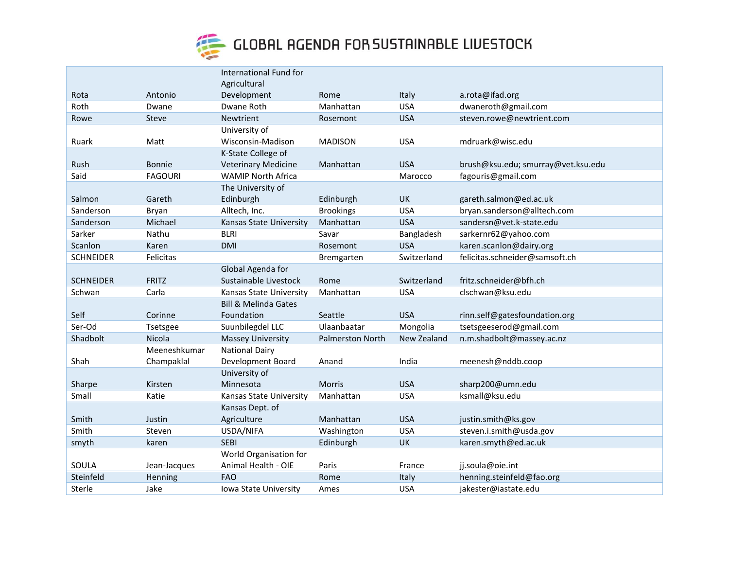

|                  |                | International Fund for          |                         |             |                                    |
|------------------|----------------|---------------------------------|-------------------------|-------------|------------------------------------|
|                  |                | Agricultural                    |                         |             |                                    |
| Rota             | Antonio        | Development                     | Rome                    | Italy       | a.rota@ifad.org                    |
| Roth             | Dwane          | Dwane Roth                      | Manhattan               | <b>USA</b>  | dwaneroth@gmail.com                |
| Rowe             | Steve          | <b>Newtrient</b>                | Rosemont                | <b>USA</b>  | steven.rowe@newtrient.com          |
|                  |                | University of                   |                         |             |                                    |
| Ruark            | Matt           | Wisconsin-Madison               | <b>MADISON</b>          | <b>USA</b>  | mdruark@wisc.edu                   |
|                  |                | K-State College of              |                         |             |                                    |
| Rush             | <b>Bonnie</b>  | <b>Veterinary Medicine</b>      | Manhattan               | <b>USA</b>  | brush@ksu.edu; smurray@vet.ksu.edu |
| Said             | <b>FAGOURI</b> | <b>WAMIP North Africa</b>       |                         | Marocco     | fagouris@gmail.com                 |
|                  |                | The University of               |                         |             |                                    |
| Salmon           | Gareth         | Edinburgh                       | Edinburgh               | <b>UK</b>   | gareth.salmon@ed.ac.uk             |
| Sanderson        | Bryan          | Alltech, Inc.                   | <b>Brookings</b>        | <b>USA</b>  | bryan.sanderson@alltech.com        |
| Sanderson        | Michael        | Kansas State University         | Manhattan               | <b>USA</b>  | sandersn@vet.k-state.edu           |
| Sarker           | Nathu          | <b>BLRI</b>                     | Savar                   | Bangladesh  | sarkernr62@yahoo.com               |
| Scanlon          | Karen          | <b>DMI</b>                      | Rosemont                | <b>USA</b>  | karen.scanlon@dairy.org            |
| <b>SCHNEIDER</b> | Felicitas      |                                 | Bremgarten              | Switzerland | felicitas.schneider@samsoft.ch     |
|                  |                | Global Agenda for               |                         |             |                                    |
| <b>SCHNEIDER</b> | <b>FRITZ</b>   | Sustainable Livestock           | Rome                    | Switzerland | fritz.schneider@bfh.ch             |
| Schwan           | Carla          | Kansas State University         | Manhattan               | <b>USA</b>  | clschwan@ksu.edu                   |
|                  |                | <b>Bill &amp; Melinda Gates</b> |                         |             |                                    |
| Self             | Corinne        | Foundation                      | Seattle                 | <b>USA</b>  | rinn.self@gatesfoundation.org      |
| Ser-Od           | Tsetsgee       | Suunbilegdel LLC                | Ulaanbaatar             | Mongolia    | tsetsgeeserod@gmail.com            |
| Shadbolt         | Nicola         | <b>Massey University</b>        | <b>Palmerston North</b> | New Zealand | n.m.shadbolt@massey.ac.nz          |
|                  | Meeneshkumar   | <b>National Dairy</b>           |                         |             |                                    |
| Shah             | Champaklal     | Development Board               | Anand                   | India       | meenesh@nddb.coop                  |
|                  |                | University of                   |                         |             |                                    |
| Sharpe           | Kirsten        | Minnesota                       | Morris                  | <b>USA</b>  | sharp200@umn.edu                   |
| Small            | Katie          | Kansas State University         | Manhattan               | <b>USA</b>  | ksmall@ksu.edu                     |
|                  |                | Kansas Dept. of                 |                         |             |                                    |
| Smith            | Justin         | Agriculture                     | Manhattan               | <b>USA</b>  | justin.smith@ks.gov                |
| Smith            | Steven         | USDA/NIFA                       | Washington              | <b>USA</b>  | steven.i.smith@usda.gov            |
| smyth            | karen          | <b>SEBI</b>                     | Edinburgh               | UK          | karen.smyth@ed.ac.uk               |
|                  |                | World Organisation for          |                         |             |                                    |
| SOULA            | Jean-Jacques   | Animal Health - OIE             | Paris                   | France      | jj.soula@oie.int                   |
| Steinfeld        | Henning        | <b>FAO</b>                      | Rome                    | Italy       | henning.steinfeld@fao.org          |
| Sterle           | Jake           | Iowa State University           | Ames                    | <b>USA</b>  | jakester@iastate.edu               |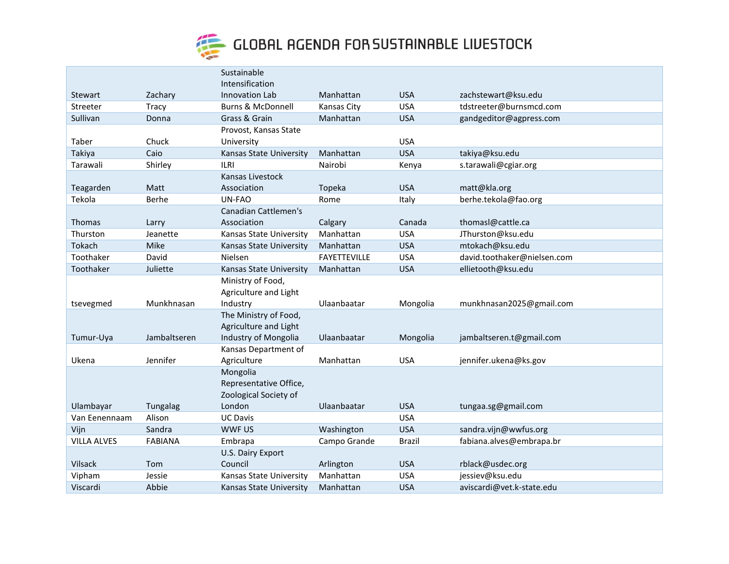

|                    |                | Sustainable                  |                     |               |                             |
|--------------------|----------------|------------------------------|---------------------|---------------|-----------------------------|
|                    |                | Intensification              |                     |               |                             |
| <b>Stewart</b>     | Zachary        | Innovation Lab               | Manhattan           | <b>USA</b>    | zachstewart@ksu.edu         |
| Streeter           | <b>Tracy</b>   | <b>Burns &amp; McDonnell</b> | <b>Kansas City</b>  | <b>USA</b>    | tdstreeter@burnsmcd.com     |
| Sullivan           | Donna          | Grass & Grain                | Manhattan           | <b>USA</b>    | gandgeditor@agpress.com     |
|                    |                | Provost, Kansas State        |                     |               |                             |
| Taber              | Chuck          | University                   |                     | <b>USA</b>    |                             |
| Takiya             | Caio           | Kansas State University      | Manhattan           | <b>USA</b>    | takiya@ksu.edu              |
| Tarawali           | Shirley        | <b>ILRI</b>                  | Nairobi             | Kenya         | s.tarawali@cgiar.org        |
|                    |                | Kansas Livestock             |                     |               |                             |
| Teagarden          | Matt           | Association                  | Topeka              | <b>USA</b>    | matt@kla.org                |
| Tekola             | Berhe          | UN-FAO                       | Rome                | Italy         | berhe.tekola@fao.org        |
|                    |                | Canadian Cattlemen's         |                     |               |                             |
| <b>Thomas</b>      | Larry          | Association                  | Calgary             | Canada        | thomasl@cattle.ca           |
| Thurston           | Jeanette       | Kansas State University      | Manhattan           | <b>USA</b>    | JThurston@ksu.edu           |
| Tokach             | Mike           | Kansas State University      | Manhattan           | <b>USA</b>    | mtokach@ksu.edu             |
| Toothaker          | David          | Nielsen                      | <b>FAYETTEVILLE</b> | <b>USA</b>    | david.toothaker@nielsen.com |
| Toothaker          | Juliette       | Kansas State University      | Manhattan           | <b>USA</b>    | ellietooth@ksu.edu          |
|                    |                | Ministry of Food,            |                     |               |                             |
|                    |                | Agriculture and Light        |                     |               |                             |
| tsevegmed          | Munkhnasan     | Industry                     | Ulaanbaatar         | Mongolia      | munkhnasan2025@gmail.com    |
|                    |                | The Ministry of Food,        |                     |               |                             |
|                    |                | Agriculture and Light        |                     |               |                             |
| Tumur-Uya          | Jambaltseren   | Industry of Mongolia         | Ulaanbaatar         | Mongolia      | jambaltseren.t@gmail.com    |
|                    |                | Kansas Department of         |                     |               |                             |
| Ukena              | Jennifer       | Agriculture                  | Manhattan           | <b>USA</b>    | jennifer.ukena@ks.gov       |
|                    |                | Mongolia                     |                     |               |                             |
|                    |                | Representative Office,       |                     |               |                             |
|                    |                | Zoological Society of        |                     |               |                             |
| Ulambayar          | Tungalag       | London                       | Ulaanbaatar         | <b>USA</b>    | tungaa.sg@gmail.com         |
| Van Eenennaam      | Alison         | <b>UC Davis</b>              |                     | <b>USA</b>    |                             |
| Vijn               | Sandra         | WWF US                       | Washington          | <b>USA</b>    | sandra.vijn@wwfus.org       |
| <b>VILLA ALVES</b> | <b>FABIANA</b> | Embrapa                      | Campo Grande        | <b>Brazil</b> | fabiana.alves@embrapa.br    |
|                    |                | U.S. Dairy Export            |                     |               |                             |
| Vilsack            | Tom            | Council                      | Arlington           | <b>USA</b>    | rblack@usdec.org            |
| Vipham             | Jessie         | Kansas State University      | Manhattan           | <b>USA</b>    | jessiev@ksu.edu             |
| Viscardi           | Abbie          | Kansas State University      | Manhattan           | <b>USA</b>    | aviscardi@vet.k-state.edu   |